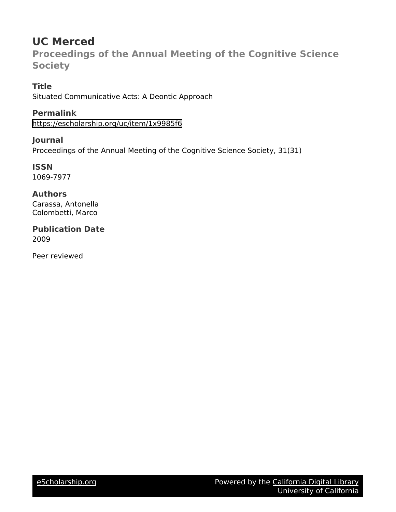# **UC Merced**

**Proceedings of the Annual Meeting of the Cognitive Science Society**

## **Title**

Situated Communicative Acts: A Deontic Approach

# **Permalink**

<https://escholarship.org/uc/item/1x9985f6>

## **Journal**

Proceedings of the Annual Meeting of the Cognitive Science Society, 31(31)

# **ISSN**

1069-7977

## **Authors**

Carassa, Antonella Colombetti, Marco

### **Publication Date** 2009

Peer reviewed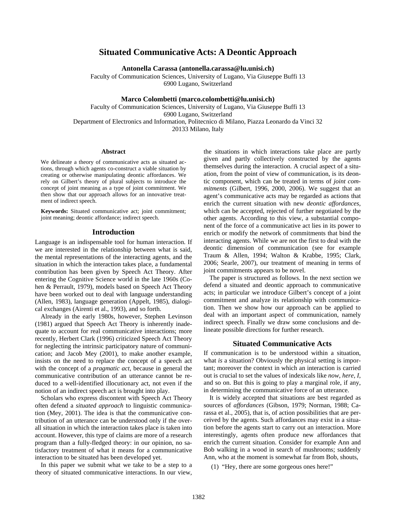### **Situated Communicative Acts: A Deontic Approach**

**Antonella Carassa (antonella.carassa@lu.unisi.ch)** 

Faculty of Communication Sciences, University of Lugano, Via Giuseppe Buffi 13 6900 Lugano, Switzerland

### **Marco Colombetti (marco.colombetti@lu.unisi.ch)**

Faculty of Communication Sciences, University of Lugano, Via Giuseppe Buffi 13 6900 Lugano, Switzerland Department of Electronics and Information, Politecnico di Milano, Piazza Leonardo da Vinci 32 20133 Milano, Italy

#### **Abstract**

We delineate a theory of communicative acts as situated actions, through which agents co-construct a viable situation by creating or otherwise manipulating deontic affordances. We rely on Gilbert's theory of plural subjects to introduce the concept of joint meaning as a type of joint commitment. We then show that our approach allows for an innovative treatment of indirect speech.

**Keywords:** Situated communicative act; joint commitment; joint meaning; deontic affordance; indirect speech.

#### **Introduction**

Language is an indispensable tool for human interaction. If we are interested in the relationship between what is said, the mental representations of the interacting agents, and the situation in which the interaction takes place, a fundamental contribution has been given by Speech Act Theory. After entering the Cognitive Science world in the late 1960s (Cohen & Perrault, 1979), models based on Speech Act Theory have been worked out to deal with language understanding (Allen, 1983), language generation (Appelt, 1985), dialogical exchanges (Airenti et al., 1993), and so forth.

Already in the early 1980s, however, Stephen Levinson (1981) argued that Speech Act Theory is inherently inadequate to account for real communicative interactions; more recently, Herbert Clark (1996) criticized Speech Act Theory for neglecting the intrinsic participatory nature of communication; and Jacob Mey (2001), to make another example, insists on the need to replace the concept of a speech act with the concept of a *pragmatic act*, because in general the communicative contribution of an utterance cannot be reduced to a well-identified illocutionary act, not even if the notion of an indirect speech act is brought into play.

Scholars who express discontent with Speech Act Theory often defend a *situated approach* to linguistic communication (Mey, 2001). The idea is that the communicative contribution of an utterance can be understood only if the overall situation in which the interaction takes place is taken into account. However, this type of claims are more of a research program than a fully-fledged theory: in our opinion, no satisfactory treatment of what it means for a communicative interaction to be situated has been developed yet.

In this paper we submit what we take to be a step to a theory of situated communicative interactions. In our view, the situations in which interactions take place are partly given and partly collectively constructed by the agents themselves during the interaction. A crucial aspect of a situation, from the point of view of communication, is its deontic component, which can be treated in terms of *joint commitments* (Gilbert, 1996, 2000, 2006). We suggest that an agent's communicative acts may be regarded as actions that enrich the current situation with new *deontic affordances*, which can be accepted, rejected of further negotiated by the other agents. According to this view, a substantial component of the force of a communicative act lies in its power to enrich or modify the network of commitments that bind the interacting agents. While we are not the first to deal with the deontic dimension of communication (see for example Traum & Allen, 1994; Walton & Krabbe, 1995; Clark, 2006; Searle, 2007), our treatment of meaning in terms of joint commitments appears to be novel.

The paper is structured as follows. In the next section we defend a situated and deontic approach to communicative acts; in particular we introduce Gilbert's concept of a joint commitment and analyze its relationship with communication. Then we show how our approach can be applied to deal with an important aspect of communication, namely indirect speech. Finally we draw some conclusions and delineate possible directions for further research.

#### **Situated Communicative Acts**

If communication is to be understood within a situation, what *is* a situation? Obviously the physical setting is important; moreover the context in which an interaction is carried out is crucial to set the values of indexicals like *now*, *here*, *I*, and so on. But this is going to play a marginal role, if any, in determining the communicative force of an utterance.

It is widely accepted that situations are best regarded as sources of *affordances* (Gibson, 1979; Norman, 1988; Carassa et al., 2005), that is, of action possibilities that are perceived by the agents. Such affordances may exist in a situation before the agents start to carry out an interaction. More interestingly, agents often produce new affordances that enrich the current situation. Consider for example Ann and Bob walking in a wood in search of mushrooms; suddenly Ann, who at the moment is somewhat far from Bob, shouts,

(1) "Hey, there are some gorgeous ones here!"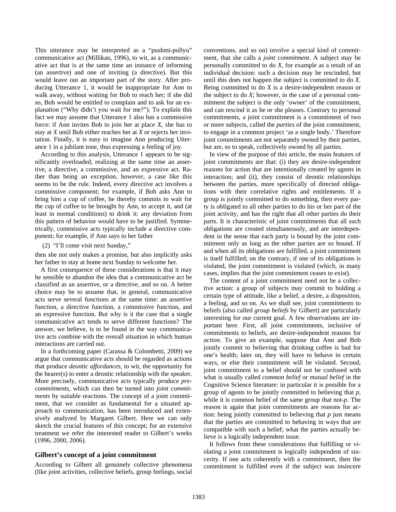This utterance may be interpreted as a "pushmi-pullyu" communicative act (Millikan, 1996), to wit, as a communicative act that is at the same time an instance of informing (an assertive) and one of inviting (a directive). But this would leave out an important part of the story. After producing Utterance 1, it would be inappropriate for Ann to walk away, without waiting for Bob to reach her; if she did so, Bob would be entitled to complain and to ask for an explanation ("Why didn't you wait for me?"). To explain this fact we may assume that Utterance 1 also has a commissive force: if Ann invites Bob to join her at place *X*, she has to stay at *X* until Bob either reaches her at *X* or rejects her invitation. Finally, it is easy to imagine Ann producing Utterance 1 in a jubilant tone, thus expressing a feeling of joy.

According to this analysis, Utterance 1 appears to be significantly overloaded, realizing at the same time an assertive, a directive, a commissive, and an expressive act. Rather than being an exception, however, a case like this seems to be the rule. Indeed, every directive act involves a commissive component; for example, if Bob asks Ann to bring him a cup of coffee, he thereby commits to wait for the cup of coffee to be brought by Ann, to accept it, and (at least in normal conditions) to drink it: any deviation from this pattern of behavior would have to be justified. Symmetrically, commissive acts typically include a directive component; for example, if Ann says to her father

(2) "I'll come visit next Sunday,"

then she not only makes a promise, but also implicitly asks her father to stay at home next Sunday to welcome her.

A first consequence of these considerations is that it may be sensible to abandon the idea that a communicative act be classified as an assertive, or a directive, and so on. A better choice may be to assume that, in general, communicative acts serve several functions at the same time: an assertive function, a directive function, a commissive function, and an expressive function. But why is it the case that a single communicative act tends to serve different functions? The answer, we believe, is to be found in the way communicative acts combine with the overall situation in which human interactions are carried out.

In a forthcoming paper (Carassa & Colombetti, 2009) we argue that communicative acts should be regarded as actions that produce *deontic affordances*, to wit, the opportunity for the hearer(s) to enter a deontic relationship with the speaker. More precisely, communicative acts typically produce *precommitments*, which can then be turned into *joint commitments* by suitable reactions. The concept of a joint commitment, that we consider as fundamental for a situated approach to communication, has been introduced and extensively analyzed by Margaret Gilbert. Here we can only sketch the crucial features of this concept; for an extensive treatment we refer the interested reader to Gilbert's works (1996, 2000, 2006).

#### **Gilbert's concept of a joint commitment**

According to Gilbert all genuinely collective phenomena (like joint activities, collective beliefs, group feelings, social conventions, and so on) involve a special kind of commitment, that she calls a *joint commitment*. A subject may be personally committed to do *X*, for example as a result of an individual decision: such a decision may be rescinded, but until this does not happen the subject is committed to do *X*. Being committed to do *X* is a desire-independent reason or the subject to do *X*; however, in the case of a personal commitment the subject is the only 'owner' of the commitment, and can rescind it as he or she pleases. Contrary to personal commitments, a joint commitment is a commitment of two or more subjects, called the *parties* of the joint commitment, to engage in a common project 'as a single body.' Therefore joint commitments are not separately owned by their parties, but are, so to speak, collectively owned by all parties.

In view of the purpose of this article, the main features of joint commitments are that: (i) they are desire-independent reasons for action that are intentionally created by agents in interaction; and (ii), they consist of deontic relationships between the parties, more specifically of directed obligations with their correlative rights and entitlements. If a group is jointly committed to do something, then every party is obligated to all other parties to do his or her part of the joint activity, and has the right that all other parties do their parts. It is characteristic of joint commitments that all such obligations are created simultaneously, and are interdependent in the sense that each party is bound by the joint commitment only as long as the other parties are so bound. If and when all its obligations are fulfilled, a joint commitment is itself fulfilled; on the contrary, if one of its obligations is violated, the joint commitment is violated (which, in many cases, implies that the joint commitment ceases to exist).

The content of a joint commitment need not be a collective action: a group of subjects may commit to holding a certain type of attitude, like a belief, a desire, a disposition, a feeling, and so on. As we shall see, joint commitments to beliefs (also called *group beliefs* by Gilbert) are particularly interesting for our current goal. A few observations are important here. First, all joint commitments, inclusive of commitments to beliefs, are desire-independent reasons for *action*. To give an example, suppose that Ann and Bob jointly commit to believing that drinking coffee is bad for one's health; later on, they will have to behave in certain ways, or else their commitment will be violated. Second, joint commitment to a belief should not be confused with what is usually called *common belief* or *mutual belief* in the Cognitive Science literature: in particular it is possible for a group of agents to be jointly committed to believing that *p*, while it is common belief of the same group that not-*p*. The reason is again that joint commitments are reasons for action: being jointly committed to believing that *p* just means that the parties are committed to behaving in ways that are compatible with such a belief; what the parties actually believe is a logically independent issue.

It follows from these considerations that fulfilling or violating a joint commitment is logically independent of sincerity. If one acts coherently with a commitment, then the commitment is fulfilled even if the subject was insincere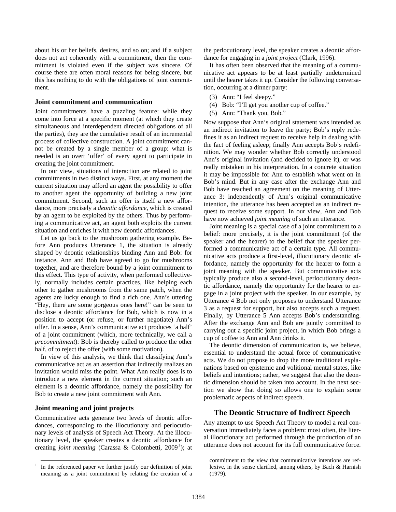about his or her beliefs, desires, and so on; and if a subject does not act coherently with a commitment, then the commitment is violated even if the subject was sincere. Of course there are often moral reasons for being sincere, but this has nothing to do with the obligations of joint commitment.

#### **Joint commitment and communication**

Joint commitments have a puzzling feature: while they come into force at a specific moment (at which they create simultaneous and interdependent directed obligations of all the parties), they are the cumulative result of an incremental process of collective construction. A joint commitment cannot be created by a single member of a group: what is needed is an overt 'offer' of every agent to participate in creating the joint commitment.

In our view, situations of interaction are related to joint commitments in two distinct ways. First, at any moment the current situation may afford an agent the possibility to offer to another agent the opportunity of building a new joint commitment. Second, such an offer is itself a new affordance, more precisely a *deontic affordance*, which is created by an agent to be exploited by the others. Thus by performing a communicative act, an agent both exploits the current situation and enriches it with new deontic affordances.

Let us go back to the mushroom gathering example. Before Ann produces Utterance 1, the situation is already shaped by deontic relationships binding Ann and Bob: for instance, Ann and Bob have agreed to go for mushrooms together, and are therefore bound by a joint commitment to this effect. This type of activity, when performed collectively, normally includes certain practices, like helping each other to gather mushrooms from the same patch, when the agents are lucky enough to find a rich one. Ann's uttering "Hey, there are some gorgeous ones here!" can be seen to disclose a deontic affordance for Bob, which is now in a position to accept (or refuse, or further negotiate) Ann's offer. In a sense, Ann's communicative act produces 'a half' of a joint commitment (which, more technically, we call a *precommitment*): Bob is thereby called to produce the other half, of to reject the offer (with some motivation).

In view of this analysis, we think that classifying Ann's communicative act as an assertion that indirectly realizes an invitation would miss the point. What Ann really does is to introduce a new element in the current situation; such an element is a deontic affordance, namely the possibility for Bob to create a new joint commitment with Ann.

### **Joint meaning and joint projects**

 $\overline{a}$ 

Communicative acts generate two levels of deontic affordances, corresponding to the illocutionary and perlocutionary levels of analysis of Speech Act Theory. At the illocutionary level, the speaker creates a deontic affordance for creating *joint meaning* (Carassa & Colombetti, 2009<sup>[1](#page-3-0)</sup>); at the perlocutionary level, the speaker creates a deontic affordance for engaging in a *joint project* (Clark, 1996).

It has often been observed that the meaning of a communicative act appears to be at least partially undetermined until the hearer takes it up. Consider the following conversation, occurring at a dinner party:

- (3) Ann: "I feel sleepy."
- (4) Bob: "I'll get you another cup of coffee."
- (5) Ann: "Thank you, Bob."

Now suppose that Ann's original statement was intended as an indirect invitation to leave the party; Bob's reply redefines it as an indirect request to receive help in dealing with the fact of feeling asleep; finally Ann accepts Bob's redefinition. We may wonder whether Bob correctly understood Ann's original invitation (and decided to ignore it), or was really mistaken in his interpretation. In a concrete situation it may be impossible for Ann to establish what went on in Bob's mind. But in any case after the exchange Ann and Bob have reached an agreement on the meaning of Utterance 3: independently of Ann's original communicative intention, the utterance has been accepted as an indirect request to receive some support. In our view, Ann and Bob have now achieved *joint meaning* of such an utterance.

Joint meaning is a special case of a joint commitment to a belief: more precisely, it is the joint commitment (of the speaker and the hearer) to the belief that the speaker performed a communicative act of a certain type. All communicative acts produce a first-level, illocutionary deontic affordance, namely the opportunity for the hearer to form a joint meaning with the speaker. But communicative acts typically produce also a second-level, perlocutionary deontic affordance, namely the opportunity for the hearer to engage in a joint project with the speaker. In our example, by Utterance 4 Bob not only proposes to understand Utterance 3 as a request for support, but also accepts such a request. Finally, by Utterance 5 Ann accepts Bob's understanding. After the exchange Ann and Bob are jointly committed to carrying out a specific joint project, in which Bob brings a cup of coffee to Ann and Ann drinks it.

The deontic dimension of communication is, we believe, essential to understand the actual force of communicative acts. We do not propose to drop the more traditional explanations based on epistemic and volitional mental states, like beliefs and intentions; rather, we suggest that also the deontic dimension should be taken into account. In the next section we show that doing so allows one to explain some problematic aspects of indirect speech.

### **The Deontic Structure of Indirect Speech**

Any attempt to use Speech Act Theory to model a real conversation immediately faces a problem: most often, the literal illocutionary act performed through the production of an utterance does not account for its full communicative force.

 $\overline{\phantom{a}}$ 

<span id="page-3-0"></span><sup>1</sup> In the referenced paper we further justify our definition of joint meaning as a joint commitment by relating the creation of a

commitment to the view that communicative intentions are reflexive, in the sense clarified, among others, by Bach & Harnish (1979).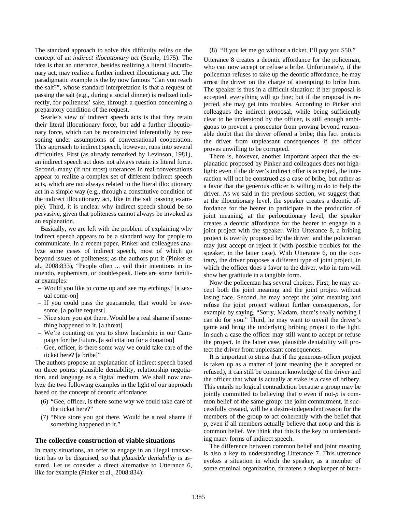The standard approach to solve this difficulty relies on the concept of an *indirect illocutionary act* (Searle, 1975). The idea is that an utterance, besides realizing a literal illocutionary act, may realize a further indirect illocutionary act. The paradigmatic example is the by now famous "Can you reach the salt?", whose standard interpretation is that a request of passing the salt (e.g., during a social dinner) is realized indirectly, for politeness' sake, through a question concerning a preparatory condition of the request.

Searle's view of indirect speech acts is that they retain their literal illocutionary force, but add a further illocutionary force, which can be reconstructed inferentially by reasoning under assumptions of conversational cooperation. This approach to indirect speech, however, runs into several difficulties. First (as already remarked by Levinson, 1981), an indirect speech act does not always retain its literal force. Second, many (if not most) utterances in real conversations appear to realize a complex set of different indirect speech acts, which are not always related to the literal illocutionary act in a simple way (e.g., through a constitutive condition of the indirect illocutionary act, like in the salt passing example). Third, it is unclear why indirect speech should be so pervasive, given that politeness cannot always be invoked as an explanation.

Basically, we are left with the problem of explaining why indirect speech appears to be a standard way for people to communicate. In a recent paper, Pinker and colleagues analyze some cases of indirect speech, most of which go beyond issues of politeness; as the authors put it (Pinker et al., 2008:833), "People often ... veil their intentions in innuendo, euphemism, or doublespeak. Here are some familiar examples:

- Would you like to come up and see my etchings? [a sexual come-on]
- If you could pass the guacamole, that would be awesome. [a polite request]
- Nice store you got there. Would be a real shame if something happened to it. [a threat]
- We're counting on you to show leadership in our Campaign for the Future. [a solicitation for a donation]
- Gee, officer, is there some way we could take care of the ticket here? [a bribe]"

The authors propose an explanation of indirect speech based on three points: plausible deniability, relationship negotiation, and language as a digital medium. We shall now analyze the two following examples in the light of our approach based on the concept of deontic affordance:

- (6) "Gee, officer, is there some way we could take care of the ticket here?"
- (7) "Nice store you got there. Would be a real shame if something happened to it."

#### **The collective construction of viable situations**

In many situations, an offer to engage in an illegal transaction has to be disguised, so that *plausible deniability* is assured. Let us consider a direct alternative to Utterance 6, like for example (Pinker et al., 2008:834):

#### (8) "If you let me go without a ticket, I'll pay you \$50."

Utterance 8 creates a deontic affordance for the policeman, who can now accept or refuse a bribe. Unfortunately, if the policeman refuses to take up the deontic affordance, he may arrest the driver on the charge of attempting to bribe him. The speaker is thus in a difficult situation: if her proposal is accepted, everything will go fine; but if the proposal is rejected, she may get into troubles. According to Pinker and colleagues the indirect proposal, while being sufficiently clear to be understood by the officer, is still enough ambiguous to prevent a prosecutor from proving beyond reasonable doubt that the driver offered a bribe; this fact protects the driver from unpleasant consequences if the officer proves unwilling to be corrupted.

There is, however, another important aspect that the explanation proposed by Pinker and colleagues does not highlight: even if the driver's indirect offer is accepted, the interaction will not be construed as a case of bribe, but rather as a favor that the generous officer is willing to do to help the driver. As we said in the previous section, we suggest that: at the illocutionary level, the speaker creates a deontic affordance for the hearer to participate in the production of joint meaning; at the perlocutionary level, the speaker creates a deontic affordance for the hearer to engage in a joint project with the speaker. With Utterance 8, a bribing project is overtly proposed by the driver, and the policeman may just accept or reject it (with possible troubles for the speaker, in the latter case). With Utterance 6, on the contrary, the driver proposes a different type of joint project, in which the officer does a favor to the driver, who in turn will show her gratitude in a tangible form.

Now the policeman has several choices. First, he may accept both the joint meaning and the joint project without losing face. Second, he may accept the joint meaning and refuse the joint project without further consequences, for example by saying, "Sorry, Madam, there's really nothing I can do for you." Third, he may want to unveil the driver's game and bring the underlying bribing project to the light. In such a case the officer may still want to accept or refuse the project. In the latter case, plausible deniability will protect the driver from unpleasant consequences.

It is important to stress that if the generous-officer project is taken up as a matter of joint meaning (be it accepted or refused), it can still be common knowledge of the driver and the officer that what is actually at stake is a case of bribery. This entails no logical contradiction because a group may be jointly committed to believing that *p* even if not-*p* is common belief of the same group: the joint commitment, if successfully created, will be a desire-independent reason for the members of the group to act coherently with the belief that *p*, even if all members actually believe that not-*p* and this is common belief. We think that this is the key to understanding many forms of indirect speech.

The difference between common belief and joint meaning is also a key to understanding Utterance 7. This utterance evokes a situation in which the speaker, as a member of some criminal organization, threatens a shopkeeper of burn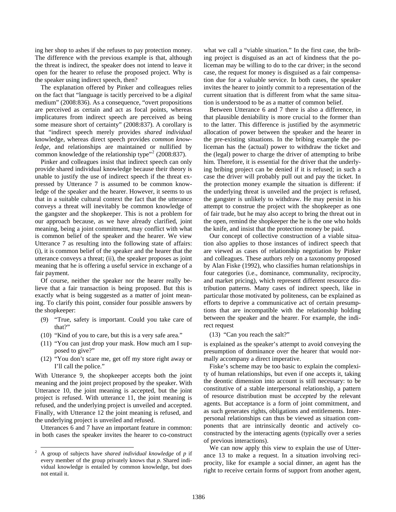ing her shop to ashes if she refuses to pay protection money. The difference with the previous example is that, although the threat is indirect, the speaker does not intend to leave it open for the hearer to refuse the proposed project. Why is the speaker using indirect speech, then?

The explanation offered by Pinker and colleagues relies on the fact that "language is tacitly perceived to be a *digital*  medium" (2008:836). As a consequence, "overt propositions are perceived as certain and act as focal points, whereas implicatures from indirect speech are perceived as being some measure short of certainty" (2008:837). A corollary is that "indirect speech merely provides *shared individual*  knowledge, whereas direct speech provides *common knowledge*, and relationships are maintained or nullified by common knowledge of the relationship type"<sup>[2](#page-5-0)</sup> (2008:837).

Pinker and colleagues insist that indirect speech can only provide shared individual knowledge because their theory is unable to justify the use of indirect speech if the threat expressed by Utterance 7 is assumed to be common knowledge of the speaker and the hearer. However, it seems to us that in a suitable cultural context the fact that the utterance conveys a threat will inevitably be common knowledge of the gangster and the shopkeeper. This is not a problem for our approach because, as we have already clarified, joint meaning, being a joint commitment, may conflict with what is common belief of the speaker and the hearer. We view Utterance 7 as resulting into the following state of affairs: (i), it is common belief of the speaker and the hearer that the utterance conveys a threat; (ii), the speaker proposes as joint meaning that he is offering a useful service in exchange of a fair payment.

Of course, neither the speaker nor the hearer really believe that a fair transaction is being proposed. But this is exactly what is being suggested as a matter of joint meaning. To clarify this point, consider four possible answers by the shopkeeper:

- (9) "True, safety is important. Could you take care of that?"
- (10) "Kind of you to care, but this is a very safe area."
- (11) "You can just drop your mask. How much am I supposed to give?"
- (12) "You don't scare me, get off my store right away or I'll call the police."

With Utterance 9, the shopkeeper accepts both the joint meaning and the joint project proposed by the speaker. With Utterance 10, the joint meaning is accepted, but the joint project is refused. With utterance 11, the joint meaning is refused, and the underlying project is unveiled and accepted. Finally, with Utterance 12 the joint meaning is refused, and the underlying project is unveiled and refused.

Utterances 6 and 7 have an important feature in common: in both cases the speaker invites the hearer to co-construct what we call a "viable situation." In the first case, the bribing project is disguised as an act of kindness that the policeman may be willing to do to the car driver; in the second case, the request for money is disguised as a fair compensation due for a valuable service. In both cases, the speaker invites the hearer to jointly commit to a representation of the current situation that is different from what the same situation is understood to be as a matter of common belief.

Between Utterance 6 and 7 there is also a difference, in that plausible deniability is more crucial to the former than to the latter. This difference is justified by the asymmetric allocation of power between the speaker and the hearer in the pre-existing situations. In the bribing example the policeman has the (actual) power to withdraw the ticket and the (legal) power to charge the driver of attempting to bribe him. Therefore, it is essential for the driver that the underlying bribing project can be denied if it is refused; in such a case the driver will probably pull out and pay the ticket. In the protection money example the situation is different: if the underlying threat is unveiled and the project is refused, the gangster is unlikely to withdraw. He may persist in his attempt to construe the project with the shopkeeper as one of fair trade, but he may also accept to bring the threat out in the open, remind the shopkeeper the he is the one who holds the knife, and insist that the protection money be paid.

Our concept of collective construction of a viable situation also applies to those instances of indirect speech that are viewed as cases of relationship negotiation by Pinker and colleagues. These authors rely on a taxonomy proposed by Alan Fiske (1992), who classifies human relationships in four categories (i.e., dominance, communality, reciprocity, and market pricing), which represent different resource distribution patterns. Many cases of indirect speech, like in particular those motivated by politeness, can be explained as efforts to deprive a communicative act of certain presumptions that are incompatible with the relationship holding between the speaker and the hearer. For example, the indirect request

(13) "Can you reach the salt?"

is explained as the speaker's attempt to avoid conveying the presumption of dominance over the hearer that would normally accompany a direct imperative.

Fiske's scheme may be too basic to explain the complexity of human relationships, but even if one accepts it, taking the deontic dimension into account is still necessary: to be constitutive of a stable interpersonal relationship, a pattern of resource distribution must be *accepted* by the relevant agents. But acceptance is a form of joint commitment, and as such generates rights, obligations and entitlements. Interpersonal relationships can thus be viewed as situation components that are intrinsically deontic and actively coconstructed by the interacting agents (typically over a series of previous interactions).

We can now apply this view to explain the use of Utterance 13 to make a request. In a situation involving reciprocity, like for example a social dinner, an agent has the right to receive certain forms of support from another agent,

<span id="page-5-0"></span> <sup>2</sup> A group of subjects have *shared individual knowledge* of *p* if every member of the group privately knows that *p*. Shared individual knowledge is entailed by common knowledge, but does not entail it.